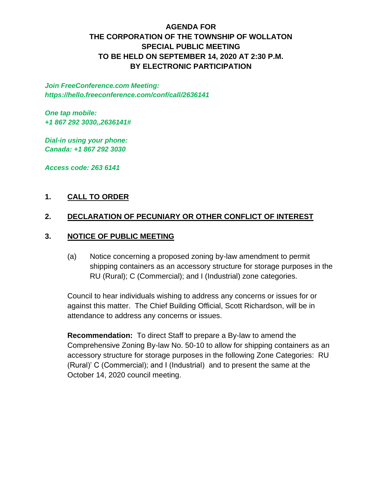# **AGENDA FOR THE CORPORATION OF THE TOWNSHIP OF WOLLATON SPECIAL PUBLIC MEETING TO BE HELD ON SEPTEMBER 14, 2020 AT 2:30 P.M. BY ELECTRONIC PARTICIPATION**

*Join FreeConference.com Meeting: https://hello.freeconference.com/conf/call/2636141*

*One tap mobile: +1 867 292 3030,,2636141#*

*Dial-in using your phone: Canada: +1 867 292 3030* 

*Access code: 263 6141*

## **1. CALL TO ORDER**

#### **2. DECLARATION OF PECUNIARY OR OTHER CONFLICT OF INTEREST**

#### **3. NOTICE OF PUBLIC MEETING**

(a) Notice concerning a proposed zoning by-law amendment to permit shipping containers as an accessory structure for storage purposes in the RU (Rural); C (Commercial); and I (Industrial) zone categories.

Council to hear individuals wishing to address any concerns or issues for or against this matter. The Chief Building Official, Scott Richardson, will be in attendance to address any concerns or issues.

**Recommendation:** To direct Staff to prepare a By-law to amend the Comprehensive Zoning By-law No. 50-10 to allow for shipping containers as an accessory structure for storage purposes in the following Zone Categories: RU (Rural)' C (Commercial); and I (Industrial) and to present the same at the October 14, 2020 council meeting.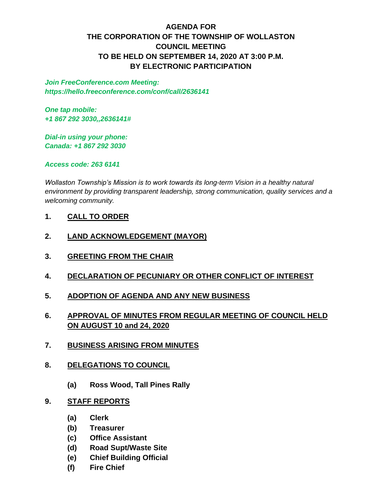# **AGENDA FOR THE CORPORATION OF THE TOWNSHIP OF WOLLASTON COUNCIL MEETING TO BE HELD ON SEPTEMBER 14, 2020 AT 3:00 P.M. BY ELECTRONIC PARTICIPATION**

*Join FreeConference.com Meeting: https://hello.freeconference.com/conf/call/2636141*

*One tap mobile: +1 867 292 3030,,2636141#*

*Dial-in using your phone: Canada: +1 867 292 3030* 

*Access code: 263 6141*

*Wollaston Township's Mission is to work towards its long-term Vision in a healthy natural environment by providing transparent leadership, strong communication, quality services and a welcoming community.*

- **1. CALL TO ORDER**
- **2. LAND ACKNOWLEDGEMENT (MAYOR)**
- **3. GREETING FROM THE CHAIR**
- **4. DECLARATION OF PECUNIARY OR OTHER CONFLICT OF INTEREST**
- **5. ADOPTION OF AGENDA AND ANY NEW BUSINESS**
- **6. APPROVAL OF MINUTES FROM REGULAR MEETING OF COUNCIL HELD ON AUGUST 10 and 24, 2020**
- **7. BUSINESS ARISING FROM MINUTES**
- **8. DELEGATIONS TO COUNCIL**
	- **(a) Ross Wood, Tall Pines Rally**
- **9. STAFF REPORTS**
	- **(a) Clerk**
	- **(b) Treasurer**
	- **(c) Office Assistant**
	- **(d) Road Supt/Waste Site**
	- **(e) Chief Building Official**
	- **(f) Fire Chief**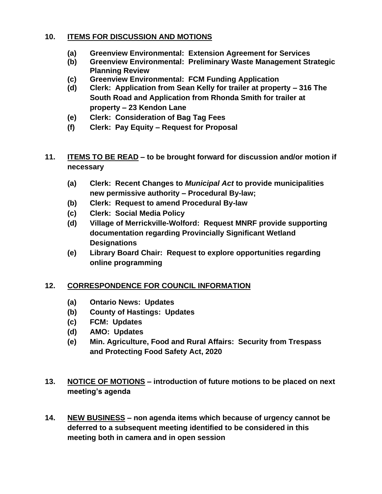## **10. ITEMS FOR DISCUSSION AND MOTIONS**

- **(a) Greenview Environmental: Extension Agreement for Services**
- **(b) Greenview Environmental: Preliminary Waste Management Strategic Planning Review**
- **(c) Greenview Environmental: FCM Funding Application**
- **(d) Clerk: Application from Sean Kelly for trailer at property – 316 The South Road and Application from Rhonda Smith for trailer at property – 23 Kendon Lane**
- **(e) Clerk: Consideration of Bag Tag Fees**
- **(f) Clerk: Pay Equity – Request for Proposal**
- **11. ITEMS TO BE READ – to be brought forward for discussion and/or motion if necessary**
	- **(a) Clerk: Recent Changes to** *Municipal Act* **to provide municipalities new permissive authority – Procedural By-law;**
	- **(b) Clerk: Request to amend Procedural By-law**
	- **(c) Clerk: Social Media Policy**
	- **(d) Village of Merrickville-Wolford: Request MNRF provide supporting documentation regarding Provincially Significant Wetland Designations**
	- **(e) Library Board Chair: Request to explore opportunities regarding online programming**

# **12. CORRESPONDENCE FOR COUNCIL INFORMATION**

- **(a) Ontario News: Updates**
- **(b) County of Hastings: Updates**
- **(c) FCM: Updates**
- **(d) AMO: Updates**
- **(e) Min. Agriculture, Food and Rural Affairs: Security from Trespass and Protecting Food Safety Act, 2020**
- **13. NOTICE OF MOTIONS – introduction of future motions to be placed on next meeting's agenda**
- **14. NEW BUSINESS – non agenda items which because of urgency cannot be deferred to a subsequent meeting identified to be considered in this meeting both in camera and in open session**